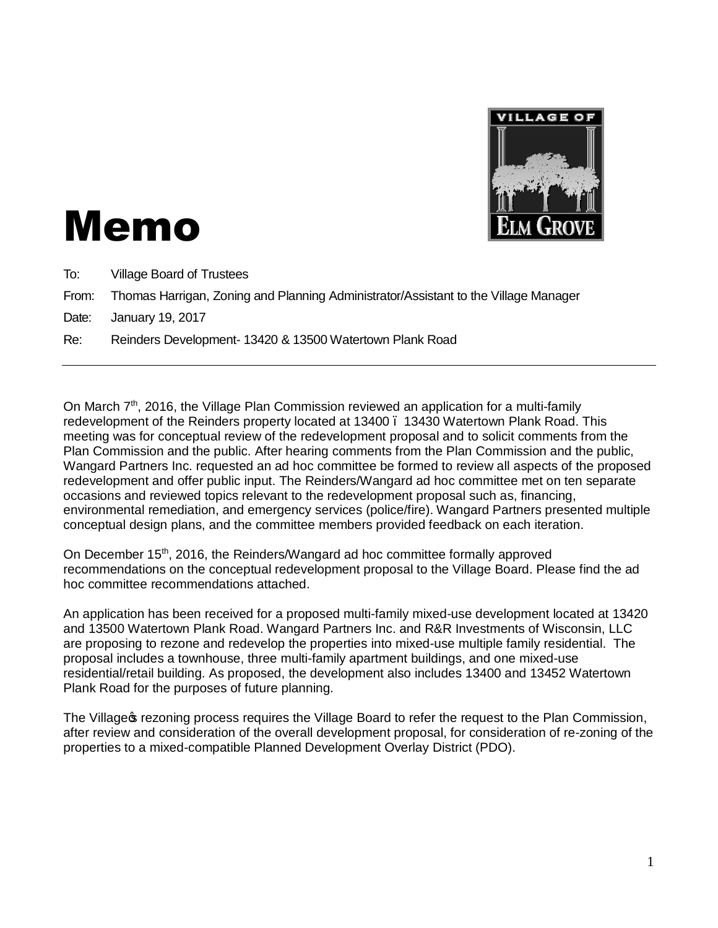

# Memo

To: Village Board of Trustees

From: Thomas Harrigan, Zoning and Planning Administrator/Assistant to the Village Manager

Date: January 19, 2017

Re: Reinders Development- 13420 & 13500 Watertown Plank Road

On March  $7<sup>th</sup>$ , 2016, the Village Plan Commission reviewed an application for a multi-family redevelopment of the Reinders property located at 13400 . 13430 Watertown Plank Road. This meeting was for conceptual review of the redevelopment proposal and to solicit comments from the Plan Commission and the public. After hearing comments from the Plan Commission and the public, Wangard Partners Inc. requested an ad hoc committee be formed to review all aspects of the proposed redevelopment and offer public input. The Reinders/Wangard ad hoc committee met on ten separate occasions and reviewed topics relevant to the redevelopment proposal such as, financing, environmental remediation, and emergency services (police/fire). Wangard Partners presented multiple conceptual design plans, and the committee members provided feedback on each iteration.

On December 15<sup>th</sup>, 2016, the Reinders/Wangard ad hoc committee formally approved recommendations on the conceptual redevelopment proposal to the Village Board. Please find the ad hoc committee recommendations attached.

An application has been received for a proposed multi-family mixed-use development located at 13420 and 13500 Watertown Plank Road. Wangard Partners Inc. and R&R Investments of Wisconsin, LLC are proposing to rezone and redevelop the properties into mixed-use multiple family residential. The proposal includes a townhouse, three multi-family apartment buildings, and one mixed-use residential/retail building. As proposed, the development also includes 13400 and 13452 Watertown Plank Road for the purposes of future planning.

The Village trezoning process requires the Village Board to refer the request to the Plan Commission, after review and consideration of the overall development proposal, for consideration of re-zoning of the properties to a mixed-compatible Planned Development Overlay District (PDO).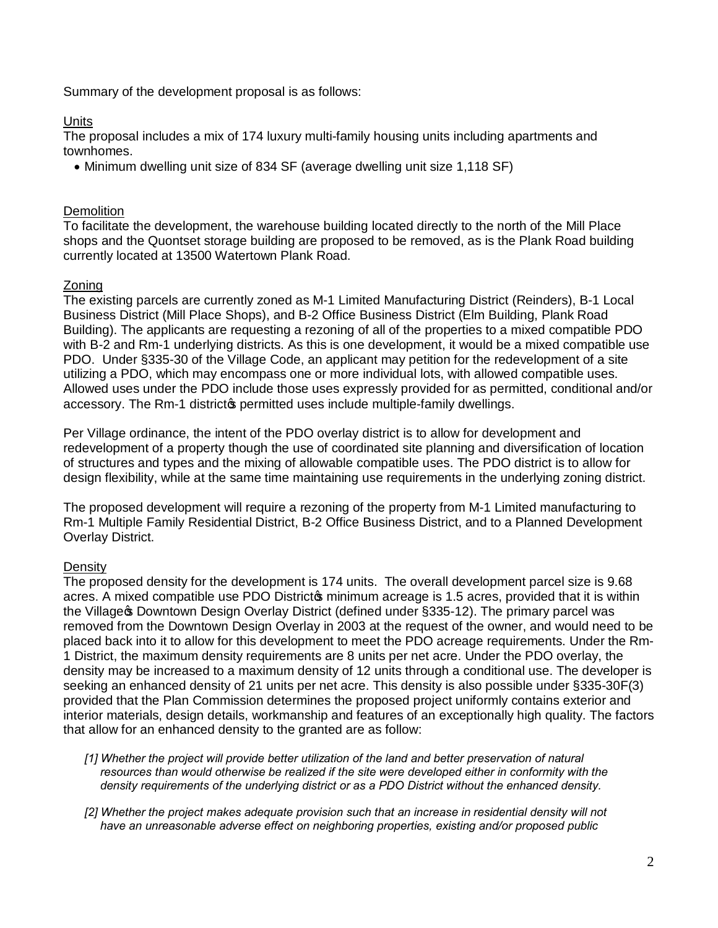Summary of the development proposal is as follows:

#### **Units**

The proposal includes a mix of 174 luxury multi-family housing units including apartments and townhomes.

· Minimum dwelling unit size of 834 SF (average dwelling unit size 1,118 SF)

## **Demolition**

To facilitate the development, the warehouse building located directly to the north of the Mill Place shops and the Quontset storage building are proposed to be removed, as is the Plank Road building currently located at 13500 Watertown Plank Road.

#### Zoning

The existing parcels are currently zoned as M-1 Limited Manufacturing District (Reinders), B-1 Local Business District (Mill Place Shops), and B-2 Office Business District (Elm Building, Plank Road Building). The applicants are requesting a rezoning of all of the properties to a mixed compatible PDO with B-2 and Rm-1 underlying districts. As this is one development, it would be a mixed compatible use PDO. Under §335-30 of the Village Code, an applicant may petition for the redevelopment of a site utilizing a PDO, which may encompass one or more individual lots, with allowed compatible uses. Allowed uses under the PDO include those uses expressly provided for as permitted, conditional and/or accessory. The Rm-1 districtos permitted uses include multiple-family dwellings.

Per Village ordinance, the intent of the PDO overlay district is to allow for development and redevelopment of a property though the use of coordinated site planning and diversification of location of structures and types and the mixing of allowable compatible uses. The PDO district is to allow for design flexibility, while at the same time maintaining use requirements in the underlying zoning district.

The proposed development will require a rezoning of the property from M-1 Limited manufacturing to Rm-1 Multiple Family Residential District, B-2 Office Business District, and to a Planned Development Overlay District.

## **Density**

The proposed density for the development is 174 units. The overall development parcel size is 9.68 acres. A mixed compatible use PDO District minimum acreage is 1.5 acres, provided that it is within the Village **Common Design Overlay District (defined under §335-12). The primary parcel was** removed from the Downtown Design Overlay in 2003 at the request of the owner, and would need to be placed back into it to allow for this development to meet the PDO acreage requirements. Under the Rm-1 District, the maximum density requirements are 8 units per net acre. Under the PDO overlay, the density may be increased to a maximum density of 12 units through a conditional use. The developer is seeking an enhanced density of 21 units per net acre. This density is also possible under §335-30F(3) provided that the Plan Commission determines the proposed project uniformly contains exterior and interior materials, design details, workmanship and features of an exceptionally high quality. The factors that allow for an enhanced density to the granted are as follow:

*[1] Whether the project will provide better utilization of the land and better preservation of natural resources than would otherwise be realized if the site were developed either in conformity with the density requirements of the underlying district or as a PDO District without the enhanced density.* 

*[2] Whether the project makes adequate provision such that an increase in residential density will not have an unreasonable adverse effect on neighboring properties, existing and/or proposed public*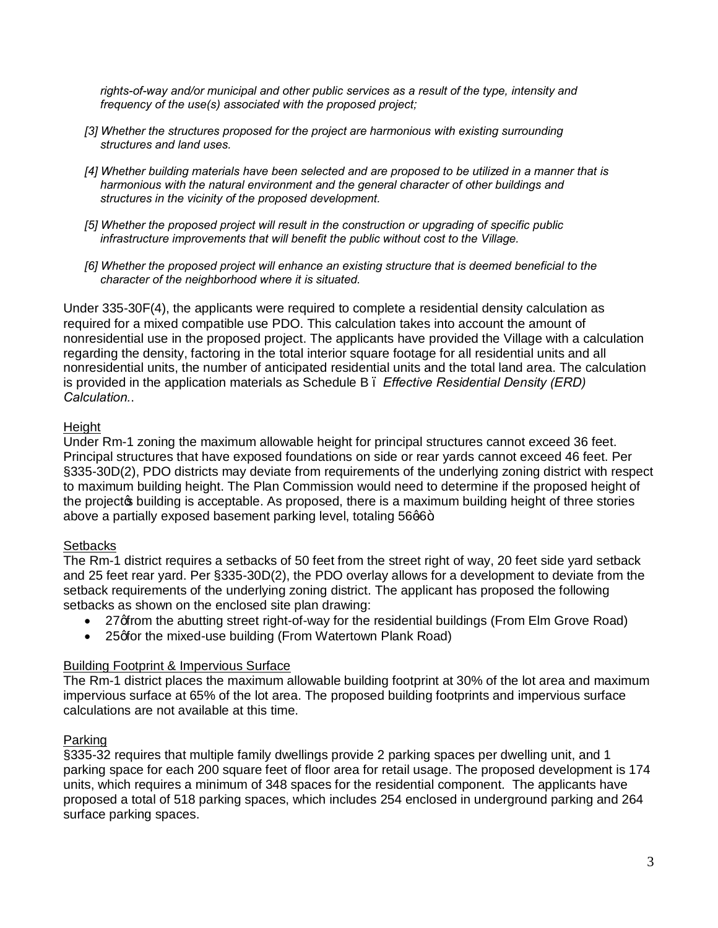*rights-of-way and/or municipal and other public services as a result of the type, intensity and frequency of the use(s) associated with the proposed project;*

- *[3] Whether the structures proposed for the project are harmonious with existing surrounding structures and land uses.*
- *[4] Whether building materials have been selected and are proposed to be utilized in a manner that is harmonious with the natural environment and the general character of other buildings and structures in the vicinity of the proposed development.*
- *[5] Whether the proposed project will result in the construction or upgrading of specific public infrastructure improvements that will benefit the public without cost to the Village.*
- *[6] Whether the proposed project will enhance an existing structure that is deemed beneficial to the character of the neighborhood where it is situated.*

Under 335-30F(4), the applicants were required to complete a residential density calculation as required for a mixed compatible use PDO. This calculation takes into account the amount of nonresidential use in the proposed project. The applicants have provided the Village with a calculation regarding the density, factoring in the total interior square footage for all residential units and all nonresidential units, the number of anticipated residential units and the total land area. The calculation is provided in the application materials as Schedule B – *Effective Residential Density (ERD) Calculation.*.

# **Height**

Under Rm-1 zoning the maximum allowable height for principal structures cannot exceed 36 feet. Principal structures that have exposed foundations on side or rear yards cannot exceed 46 feet. Per §335-30D(2), PDO districts may deviate from requirements of the underlying zoning district with respect to maximum building height. The Plan Commission would need to determine if the proposed height of the project to building is acceptable. As proposed, there is a maximum building height of three stories above a partially exposed basement parking level, totaling 56q6+.

## **Setbacks**

The Rm-1 district requires a setbacks of 50 feet from the street right of way, 20 feet side yard setback and 25 feet rear yard. Per §335-30D(2), the PDO overlay allows for a development to deviate from the setback requirements of the underlying zoning district. The applicant has proposed the following setbacks as shown on the enclosed site plan drawing:

- 27 of rom the abutting street right-of-way for the residential buildings (From Elm Grove Road)
- 25 of or the mixed-use building (From Watertown Plank Road)

## Building Footprint & Impervious Surface

The Rm-1 district places the maximum allowable building footprint at 30% of the lot area and maximum impervious surface at 65% of the lot area. The proposed building footprints and impervious surface calculations are not available at this time.

# Parking

§335-32 requires that multiple family dwellings provide 2 parking spaces per dwelling unit, and 1 parking space for each 200 square feet of floor area for retail usage. The proposed development is 174 units, which requires a minimum of 348 spaces for the residential component. The applicants have proposed a total of 518 parking spaces, which includes 254 enclosed in underground parking and 264 surface parking spaces.